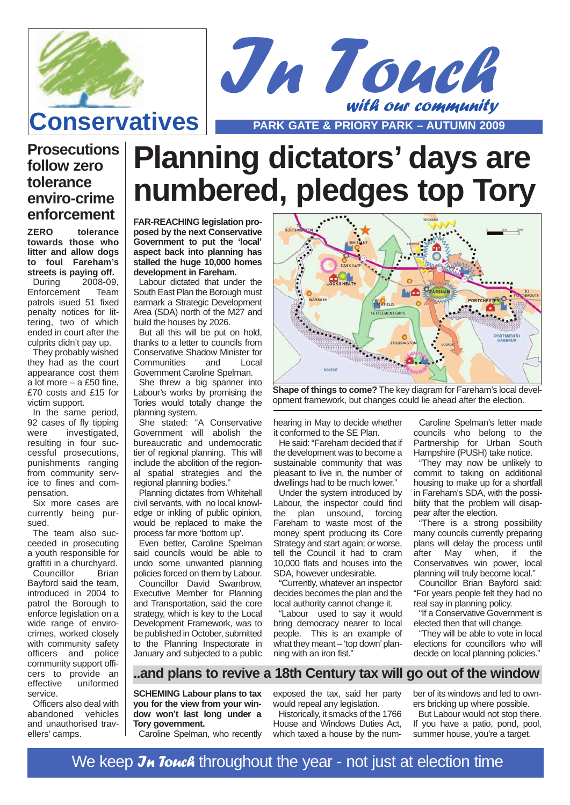

**ZERO tolerance towards those who litter and allow dogs to foul Fareham's streets is paying off.** During 2008-09, Enforcement Team patrols isued 51 fixed penalty notices for littering, two of which ended in court after the culprits didn't pay up. They probably wished they had as the court appearance cost them a lot more – a £50 fine, £70 costs and £15 for

**Prosecutions**

**follow zero tolerance enviro-crime enforcement**

victim support.

pensation.

sued.

service.

ellers' camps.

In the same period, 92 cases of fly tipping<br>were investigated. investigated,

resulting in four successful prosecutions, punishments ranging from community service to fines and com-

Six more cases are currently being pur-

The team also succeeded in prosecuting a youth responsible for graffiti in a churchyard. Councillor Brian Bayford said the team, introduced in 2004 to patrol the Borough to enforce legislation on a wide range of envirocrimes, worked closely with community safety officers and police community support officers to provide an effective uniformed

Officers also deal with abandoned vehicles and unauthorised trav-



**Planning dictators' days are numbered, pledges top Tory**

**FAR-REACHING legislation proposed by the next Conservative Government to put the 'local' aspect back into planning has stalled the huge 10,000 homes development in Fareham.**

Labour dictated that under the South East Plan the Borough must earmark a Strategic Development Area (SDA) north of the M27 and build the houses by 2026.

But all this will be put on hold, thanks to a letter to councils from Conservative Shadow Minister for Communities and Local Government Caroline Spelman.

She threw a big spanner into Labour's works by promising the Tories would totally change the planning system.

She stated: "A Conservative Government will abolish the bureaucratic and undemocratic tier of regional planning. This will include the abolition of the regional spatial strategies and the regional planning bodies.

Planning dictates from Whitehall civil servants, with no local knowledge or inkling of public opinion, would be replaced to make the process far more 'bottom up'.

Even better, Caroline Spelman said councils would be able to undo some unwanted planning policies forced on them by Labour.

Councillor David Swanbrow, Executive Member for Planning and Transportation, said the core strategy, which is key to the Local Development Framework, was to be published in October, submitted to the Planning Inspectorate in January and subjected to a public



**Shape of things to come?** The key diagram for Fareham's local development framework, but changes could lie ahead after the election.

hearing in May to decide whether it conformed to the SE Plan.

He said: "Fareham decided that if the development was to become a sustainable community that was pleasant to live in, the number of dwellings had to be much lower."

Under the system introduced by Labour, the inspector could find the plan unsound, forcing Fareham to waste most of the money spent producing its Core Strategy and start again; or worse, tell the Council it had to cram 10,000 flats and houses into the SDA, however undesirable.

"Currently, whatever an inspector decides becomes the plan and the local authority cannot change it.

"Labour used to say it would bring democracy nearer to local people. This is an example of what they meant – 'top down' planning with an iron fist."

Caroline Spelman's letter made councils who belong to the Partnership for Urban South Hampshire (PUSH) take notice.

"They may now be unlikely to commit to taking on additional housing to make up for a shortfall in Fareham's SDA, with the possibility that the problem will disappear after the election.

"There is a strong possibility many councils currently preparing plans will delay the process until after May when, if the Conservatives win power, local planning will truly become local."

Councillor Brian Bayford said: "For years people felt they had no real say in planning policy.

"If a Conservative Government is elected then that will change.

"They will be able to vote in local elections for councillors who will decide on local planning policies."

#### **..and plans to revive a 18th Century tax will go out of the window**

**SCHEMING Labour plans to tax you for the view from your window won't last long under a Tory government.**

Caroline Spelman, who recently

exposed the tax, said her party would repeal any legislation.

Historically, it smacks of the 1766 House and Windows Duties Act, which taxed a house by the number of its windows and led to owners bricking up where possible.

But Labour would not stop there. If you have a patio, pond, pool, summer house, you're a target.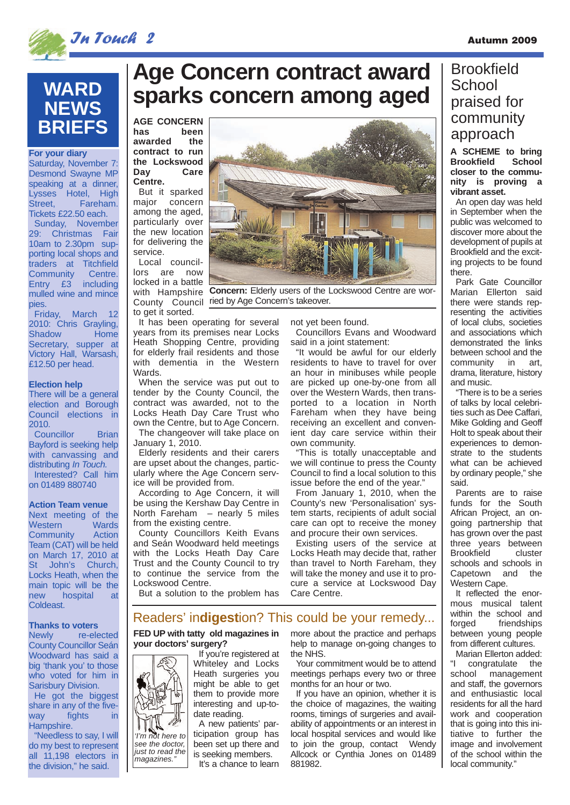

**For your diary** Saturday, November 7: Desmond Swayne MP speaking at a dinner, Lysses Hotel, High<br>Street, Fareham.

**WARD**

**NEWS**

**BRIEFS**

Tickets £22.50 each. Sunday, November 29: Christmas Fair 10am to 2.30pm supporting local shops and traders at Titchfield Community Centre. Entry £3 including mulled wine and mince

Friday, March 12 2010: Chris Grayling, Shadow Home Secretary, supper at Victory Hall, Warsash, £12.50 per head.

There will be a general election and Borough Council elections in

Councillor Brian Bayford is seeking help with canvassing and distributing *In Touch*. Interested? Call him on 01489 880740

**Action Team venue** Next meeting of the Western Wards Community Action Team (CAT) will be held on March 17, 2010 at St John's Church, Locks Heath, when the main topic will be the new hospital at

Coldeast.

Hampshire.

"Needless to say, I will do my best to represent all 11,198 electors in the division," he said.

**Thanks to voters** Newly re-elected County Councillor Seán Woodward has said a big 'thank you' to those who voted for him in Sarisbury Division. He got the biggest share in any of the fiveway fights in

**Election help**

2010.

pies.

Fareham.

# **Age Concern contract award sparks concern among aged**

**AGE CONCERN has been awarded the contract to run the Lockswood Day Care Centre.**

But it sparked major concern among the aged, particularly over the new location for delivering the service.

Local councillors are now locked in a battle to get it sorted.

It has been operating for several years from its premises near Locks Heath Shopping Centre, providing for elderly frail residents and those with dementia in the Western Wards.

When the service was put out to tender by the County Council, the contract was awarded, not to the Locks Heath Day Care Trust who own the Centre, but to Age Concern.

The changeover will take place on January 1, 2010.

Elderly residents and their carers are upset about the changes, particularly where the Age Concern service will be provided from.

According to Age Concern, it will be using the Kershaw Day Centre in North Fareham – nearly 5 miles from the existing centre.

County Councillors Keith Evans and Seán Woodward held meetings with the Locks Heath Day Care Trust and the County Council to try to continue the service from the Lockswood Centre.

But a solution to the problem has

with Hampshire **Concern:** Elderly users of the Lockswood Centre are wor-County Council ried by Age Concern's takeover.

not yet been found.

Councillors Evans and Woodward said in a joint statement:

"It would be awful for our elderly residents to have to travel for over an hour in minibuses while people are picked up one-by-one from all over the Western Wards, then transported to a location in North Fareham when they have being receiving an excellent and convenient day care service within their own community.

"This is totally unacceptable and we will continue to press the County Council to find a local solution to this issue before the end of the year."

From January 1, 2010, when the County's new 'Personalisation' system starts, recipients of adult social care can opt to receive the money and procure their own services.

Existing users of the service at Locks Heath may decide that, rather than travel to North Fareham, they will take the money and use it to procure a service at Lockswood Day Care Centre.

#### Readers' in**digest**ion? This could be your remedy...

**FED UP with tatty old magazines in your doctors' surgery?**



just to read the magazines."

If you're registered at Whiteley and Locks Heath surgeries you might be able to get them to provide more interesting and up-todate reading.

A new patients' participation group has been set up there and is seeking members.

more about the practice and perhaps help to manage on-going changes to the NHS.

Your commitment would be to attend meetings perhaps every two or three months for an hour or two.

If you have an opinion, whether it is the choice of magazines, the waiting rooms, timings of surgeries and availability of appointments or an interest in local hospital services and would like to join the group, contact Wendy Allcock or Cynthia Jones on 01489 881982.

### **Brookfield School** praised for community approach

**A SCHEME to bring Brookfield closer to the community is proving a vibrant asset.**

An open day was held in September when the public was welcomed to discover more about the development of pupils at Brookfield and the exciting projects to be found there.

Park Gate Councillor Marian Ellerton said there were stands representing the activities of local clubs, societies and associations which demonstrated the links between school and the community in art, drama, literature, history and music.

"There is to be a series of talks by local celebrities such as Dee Caffari, Mike Golding and Geoff Holt to speak about their experiences to demonstrate to the students what can be achieved by ordinary people," she said.

Parents are to raise funds for the South African Project, an ongoing partnership that has grown over the past three years between Brookfield cluster schools and schools in Capetown and the Western Cape

It reflected the enormous musical talent within the school and<br>forged friendships friendships between young people from different cultures.

Marian Ellerton added: "I congratulate the school management and staff, the governors and enthusiastic local residents for all the hard work and cooperation that is going into this initiative to further the image and involvement of the school within the local community."



It's a chance to learn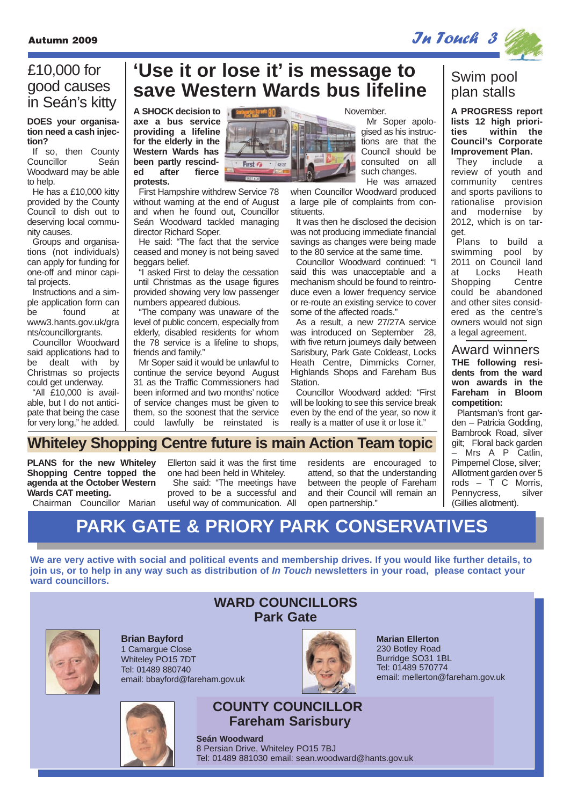### £10,000 for good causes in Seán's kitty

**DOES your organisation need a cash injection?**

If so, then County<br>Councillor Seán Councillor Woodward may be able to help.

He has a £10,000 kitty provided by the County Council to dish out to deserving local community causes.

Groups and organisations (not individuals) can apply for funding for one-off and minor capital projects.

Instructions and a simple application form can be found at www3.hants.gov.uk/gra nts/councillorgrants.

Councillor Woodward said applications had to be dealt with by Christmas so projects could get underway.

"All £10,000 is available, but I do not anticipate that being the case for very long," he added.

### **'Use it or lose it' is message to save Western Wards bus lifeline**

Santiagortan Barsate 80

**A SHOCK decision to axe a bus service providing a lifeline for the elderly in the Western Wards has been partly rescinded after fierce protests.**

First Hampshire withdrew Service 78 without warning at the end of August and when he found out, Councillor Seán Woodward tackled managing director Richard Soper.

He said: "The fact that the service ceased and money is not being saved beggars belief.

"I asked First to delay the cessation until Christmas as the usage figures provided showing very low passenger numbers appeared dubious.

"The company was unaware of the level of public concern, especially from elderly, disabled residents for whom the 78 service is a lifeline to shops, friends and family."

Mr Soper said it would be unlawful to continue the service beyond August 31 as the Traffic Commissioners had been informed and two months' notice of service changes must be given to them, so the soonest that the service could lawfully be reinstated is

November. Mr Soper apologised as his instructions are that the Council should be consulted on all such changes.

He was amazed when Councillor Woodward produced a large pile of complaints from constituents.

It was then he disclosed the decision was not producing immediate financial savings as changes were being made to the 80 service at the same time.

Councillor Woodward continued: "I said this was unacceptable and a mechanism should be found to reintroduce even a lower frequency service or re-route an existing service to cover some of the affected roads."

As a result, a new 27/27A service was introduced on September 28, with five return journeys daily between Sarisbury, Park Gate Coldeast, Locks Heath Centre, Dimmicks Corner, Highlands Shops and Fareham Bus Station.

Councillor Woodward added: "First will be looking to see this service break even by the end of the year, so now it really is a matter of use it or lose it."

### Swim pool plan stalls

**A PROGRESS report lists 12 high priorities within the Council's Corporate Improvement Plan.**<br>They include

include a review of youth and community centres and sports pavilions to rationalise provision and modernise by 2012, which is on target.

Plans to build a swimming pool by 2011 on Council land at Locks Heath Shopping Centre could be abandoned and other sites considered as the centre's owners would not sign a legal agreement.

**THE following residents from the ward won awards in the Fareham in Bloom competition:** Award winners

Plantsman's front garden – Patricia Godding, Barnbrook Road, silver gilt; Floral back garden Mrs A P Catlin, Pimpernel Close, silver; Alllotment garden over 5 rods  $\tilde{T}$  C Morris. Pennycress. silver (Gillies allotment).

### **Whiteley Shopping Centre future is main Action Team topic**

**PLANS for the new Whiteley Shopping Centre topped the agenda at the October Western Wards CAT meeting.**

Chairman Councillor Marian

Ellerton said it was the first time one had been held in Whiteley.

She said: "The meetings have proved to be a successful and useful way of communication. All

residents are encouraged to attend, so that the understanding between the people of Fareham and their Council will remain an open partnership."

# **PARK GATE & PRIORY PARK CONSERVATIVES**

**We are very active with social and political events and membership drives. If you would like further details, to join us, or to help in any way such as distribution of In Touch newsletters in your road, please contact your ward councillors.**



**Brian Bayford** 1 Camargue Close Whiteley PO15 7DT Tel: 01489 880740 email: bbayford@fareham.gov.uk



## **COUNTY COUNCILLOR Fareham Sarisbury**

**Seán Woodward** 8 Persian Drive, Whiteley PO15 7BJ Tel: 01489 881030 email: sean.woodward@hants.gov.uk





**Marian Ellerton** 230 Botley Road Burridge SO31 1BL Tel: 01489 570774 email: mellerton@fareham.gov.uk